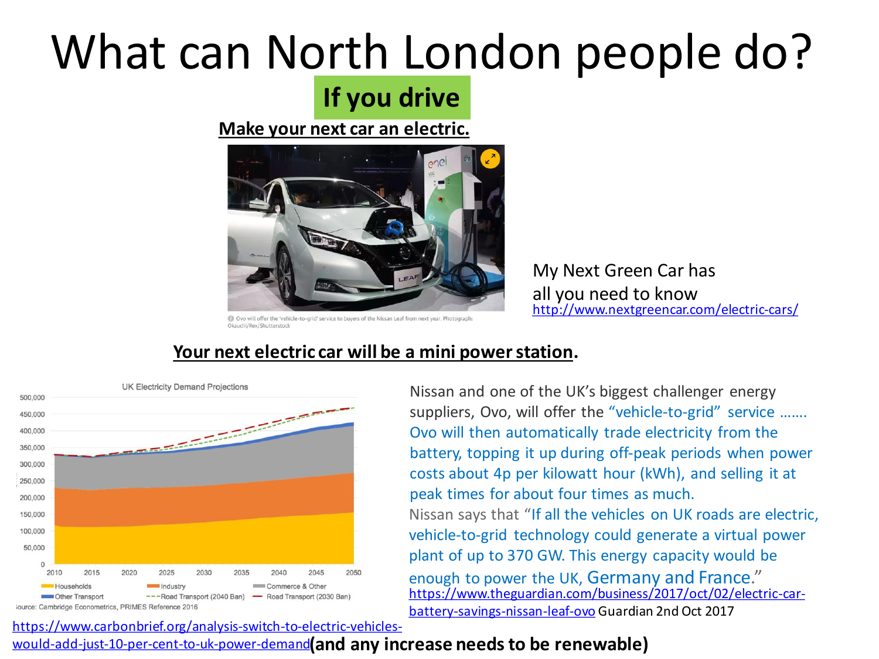# What can North London people do?

## **If you drive**

#### **Make your next car an electric.**



My Next Green Car has all you need to know <http://www.nextgreencar.com/electric-cars/>

Ovo will offer the 'vehicle-to-grid' service to buyers of the Nissan Leaf from next year. Photograph: Okauchi/Rex/Shutterstock



#### **Your next electric car will be a mini power station.**

Nissan says that "If all the vehicles on UK roads are electric, vehicle-to-grid technology could generate a virtual power plant of up to 370 GW. This energy capacity would be enough to power the UK, Germany and France." Nissan and one of the UK's biggest challenger energy suppliers, Ovo, will offer the "vehicle-to-grid" service ....... Ovo will then automatically trade electricity from the battery, topping it up during off-peak periods when power costs about 4p per kilowatt hour (kWh), and selling it at peak times for about four times as much. [https://www.theguardian.com/business/2017/oct/02/electric-car](https://www.theguardian.com/business/2017/oct/02/electric-car-battery-savings-nissan-leaf-ovo)battery-savings-nissan-leaf-ovo Guardian 2nd Oct 2017

### would-add-just-10-per-cent-to-uk-power-demand**(and any increase needs to be renewable)**